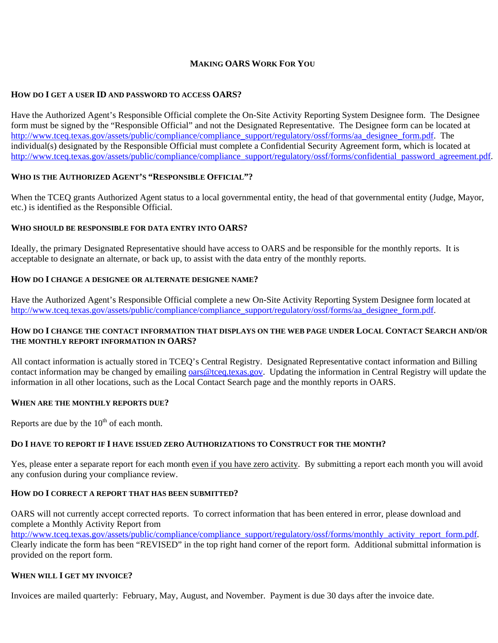### **MAKING OARS WORK FOR YOU**

# **HOW DO I GET A USER ID AND PASSWORD TO ACCESS OARS?**

Have the Authorized Agent's Responsible Official complete the On-Site Activity Reporting System Designee form. The Designee form must be signed by the "Responsible Official" and not the Designated Representative. The Designee form can be located at [http://www.tceq.texas.gov/assets/public/compliance/compliance\\_support/regulatory/ossf/forms/aa\\_designee\\_form.pdf](http://www.tceq.texas.gov/assets/public/compliance/compliance_support/regulatory/ossf/forms/aa_designee_form.pdf). The individual(s) designated by the Responsible Official must complete a Confidential Security Agreement form, which is located at [http://www.tceq.texas.gov/assets/public/compliance/compliance\\_support/regulatory/ossf/forms/confidential\\_password\\_agreement.pdf.](http://www.tceq.texas.gov/assets/public/compliance/compliance_support/regulatory/ossf/forms/confidential_password_agreement.pdf)

# **WHO IS THE AUTHORIZED AGENT'S "RESPONSIBLE OFFICIAL"?**

When the TCEQ grants Authorized Agent status to a local governmental entity, the head of that governmental entity (Judge, Mayor, etc.) is identified as the Responsible Official.

### **WHO SHOULD BE RESPONSIBLE FOR DATA ENTRY INTO OARS?**

Ideally, the primary Designated Representative should have access to OARS and be responsible for the monthly reports. It is acceptable to designate an alternate, or back up, to assist with the data entry of the monthly reports.

### **HOW DO I CHANGE A DESIGNEE OR ALTERNATE DESIGNEE NAME?**

Have the Authorized Agent's Responsible Official complete a new On-Site Activity Reporting System Designee form located at [http://www.tceq.texas.gov/assets/public/compliance/compliance\\_support/regulatory/ossf/forms/aa\\_designee\\_form.pdf](http://www.tceq.texas.gov/assets/public/compliance/compliance_support/regulatory/ossf/forms/aa_designee_form.pdf).

# **HOW DO I CHANGE THE CONTACT INFORMATION THAT DISPLAYS ON THE WEB PAGE UNDER LOCAL CONTACT SEARCH AND/OR THE MONTHLY REPORT INFORMATION IN OARS?**

All contact information is actually stored in TCEQ's Central Registry. Designated Representative contact information and Billing contact information may be changed by emailing [oars@tceq.texas.gov](mailto:oars@tceq.texas.gov). Updating the information in Central Registry will update the information in all other locations, such as the Local Contact Search page and the monthly reports in OARS.

### **WHEN ARE THE MONTHLY REPORTS DUE?**

Reports are due by the  $10<sup>th</sup>$  of each month.

### **DO I HAVE TO REPORT IF I HAVE ISSUED ZERO AUTHORIZATIONS TO CONSTRUCT FOR THE MONTH?**

Yes, please enter a separate report for each month even if you have zero activity. By submitting a report each month you will avoid any confusion during your compliance review.

### **HOW DO I CORRECT A REPORT THAT HAS BEEN SUBMITTED?**

OARS will not currently accept corrected reports. To correct information that has been entered in error, please download and complete a Monthly Activity Report from

[http://www.tceq.texas.gov/assets/public/compliance/compliance\\_support/regulatory/ossf/forms/monthly\\_activity\\_report\\_form.pdf.](http://www.tceq.texas.gov/assets/public/compliance/compliance_support/regulatory/ossf/forms/monthly_activity_report_form.pdf) Clearly indicate the form has been "REVISED" in the top right hand corner of the report form. Additional submittal information is provided on the report form.

### **WHEN WILL I GET MY INVOICE?**

Invoices are mailed quarterly: February, May, August, and November. Payment is due 30 days after the invoice date.